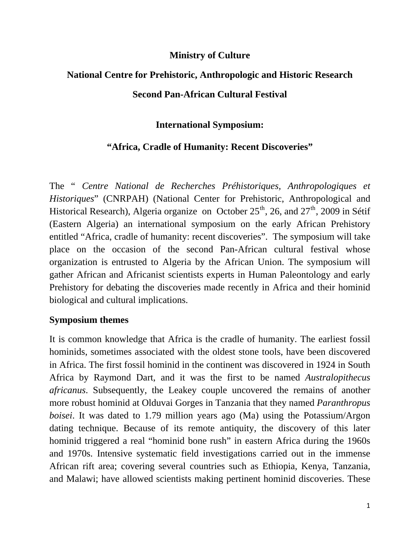### **Ministry of Culture**

# **National Centre for Prehistoric, Anthropologic and Historic Research Second Pan-African Cultural Festival**

## **International Symposium:**

## **"Africa, Cradle of Humanity: Recent Discoveries"**

The " *Centre National de Recherches Préhistoriques, Anthropologiques et Historiques*" (CNRPAH) (National Center for Prehistoric, Anthropological and Historical Research), Algeria organize on October  $25<sup>th</sup>$ , 26, and  $27<sup>th</sup>$ , 2009 in Sétif (Eastern Algeria) an international symposium on the early African Prehistory entitled "Africa, cradle of humanity: recent discoveries". The symposium will take place on the occasion of the second Pan-African cultural festival whose organization is entrusted to Algeria by the African Union. The symposium will gather African and Africanist scientists experts in Human Paleontology and early Prehistory for debating the discoveries made recently in Africa and their hominid biological and cultural implications.

#### **Symposium themes**

It is common knowledge that Africa is the cradle of humanity. The earliest fossil hominids, sometimes associated with the oldest stone tools, have been discovered in Africa. The first fossil hominid in the continent was discovered in 1924 in South Africa by Raymond Dart, and it was the first to be named *Australopithecus africanus*. Subsequently, the Leakey couple uncovered the remains of another more robust hominid at Olduvai Gorges in Tanzania that they named *Paranthropus boisei*. It was dated to 1.79 million years ago (Ma) using the Potassium/Argon dating technique. Because of its remote antiquity, the discovery of this later hominid triggered a real "hominid bone rush" in eastern Africa during the 1960s and 1970s. Intensive systematic field investigations carried out in the immense African rift area; covering several countries such as Ethiopia, Kenya, Tanzania, and Malawi; have allowed scientists making pertinent hominid discoveries. These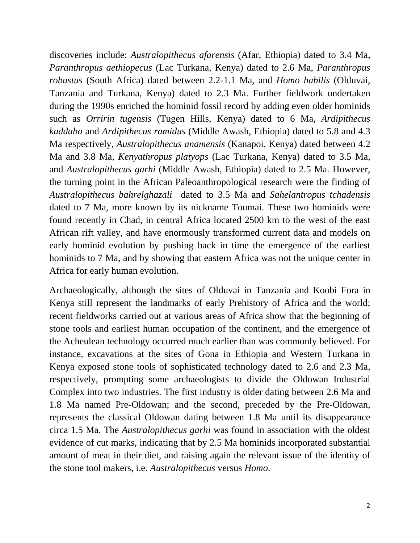discoveries include: *Australopithecus afarensis* (Afar, Ethiopia) dated to 3.4 Ma, *Paranthropus aethiopecus* (Lac Turkana, Kenya) dated to 2.6 Ma, *Paranthropus robustus* (South Africa) dated between 2.2-1.1 Ma, and *Homo habilis* (Olduvai, Tanzania and Turkana, Kenya) dated to 2.3 Ma. Further fieldwork undertaken during the 1990s enriched the hominid fossil record by adding even older hominids such as *Orririn tugensis* (Tugen Hills, Kenya) dated to 6 Ma, *Ardipithecus kaddaba* and *Ardipithecus ramidus* (Middle Awash, Ethiopia) dated to 5.8 and 4.3 Ma respectively, *Australopithecus anamensis* (Kanapoi, Kenya) dated between 4.2 Ma and 3.8 Ma, *Kenyathropus platyops* (Lac Turkana, Kenya) dated to 3.5 Ma, and *Australopithecus garhi* (Middle Awash, Ethiopia) dated to 2.5 Ma. However, the turning point in the African Paleoanthropological research were the finding of *Australopithecus bahrelghazali* dated to 3.5 Ma and *Sahelantropus tchadensis*  dated to 7 Ma*,* more known by its nickname Toumai. These two hominids were found recently in Chad, in central Africa located 2500 km to the west of the east African rift valley, and have enormously transformed current data and models on early hominid evolution by pushing back in time the emergence of the earliest hominids to 7 Ma, and by showing that eastern Africa was not the unique center in Africa for early human evolution.

Archaeologically, although the sites of Olduvai in Tanzania and Koobi Fora in Kenya still represent the landmarks of early Prehistory of Africa and the world; recent fieldworks carried out at various areas of Africa show that the beginning of stone tools and earliest human occupation of the continent, and the emergence of the Acheulean technology occurred much earlier than was commonly believed. For instance, excavations at the sites of Gona in Ethiopia and Western Turkana in Kenya exposed stone tools of sophisticated technology dated to 2.6 and 2.3 Ma, respectively, prompting some archaeologists to divide the Oldowan Industrial Complex into two industries. The first industry is older dating between 2.6 Ma and 1.8 Ma named Pre-Oldowan; and the second, preceded by the Pre-Oldowan, represents the classical Oldowan dating between 1.8 Ma until its disappearance circa 1.5 Ma. The *Australopithecus garhi* was found in association with the oldest evidence of cut marks, indicating that by 2.5 Ma hominids incorporated substantial amount of meat in their diet, and raising again the relevant issue of the identity of the stone tool makers, i.e. *Australopithecus* versus *Homo*.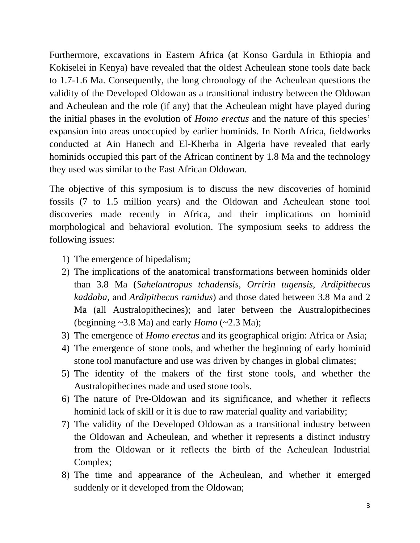Furthermore, excavations in Eastern Africa (at Konso Gardula in Ethiopia and Kokiselei in Kenya) have revealed that the oldest Acheulean stone tools date back to 1.7-1.6 Ma. Consequently, the long chronology of the Acheulean questions the validity of the Developed Oldowan as a transitional industry between the Oldowan and Acheulean and the role (if any) that the Acheulean might have played during the initial phases in the evolution of *Homo erectus* and the nature of this species' expansion into areas unoccupied by earlier hominids. In North Africa, fieldworks conducted at Ain Hanech and El-Kherba in Algeria have revealed that early hominids occupied this part of the African continent by 1.8 Ma and the technology they used was similar to the East African Oldowan.

The objective of this symposium is to discuss the new discoveries of hominid fossils (7 to 1.5 million years) and the Oldowan and Acheulean stone tool discoveries made recently in Africa, and their implications on hominid morphological and behavioral evolution. The symposium seeks to address the following issues:

- 1) The emergence of bipedalism;
- 2) The implications of the anatomical transformations between hominids older than 3.8 Ma (*Sahelantropus tchadensis*, *Orririn tugensis*, *Ardipithecus kaddaba,* and *Ardipithecus ramidus*) and those dated between 3.8 Ma and 2 Ma (all Australopithecines); and later between the Australopithecines (beginning  $\sim$ 3.8 Ma) and early *Homo* ( $\sim$ 2.3 Ma);
- 3) The emergence of *Homo erectus* and its geographical origin: Africa or Asia;
- 4) The emergence of stone tools, and whether the beginning of early hominid stone tool manufacture and use was driven by changes in global climates;
- 5) The identity of the makers of the first stone tools, and whether the Australopithecines made and used stone tools.
- 6) The nature of Pre-Oldowan and its significance, and whether it reflects hominid lack of skill or it is due to raw material quality and variability;
- 7) The validity of the Developed Oldowan as a transitional industry between the Oldowan and Acheulean, and whether it represents a distinct industry from the Oldowan or it reflects the birth of the Acheulean Industrial Complex;
- 8) The time and appearance of the Acheulean, and whether it emerged suddenly or it developed from the Oldowan;